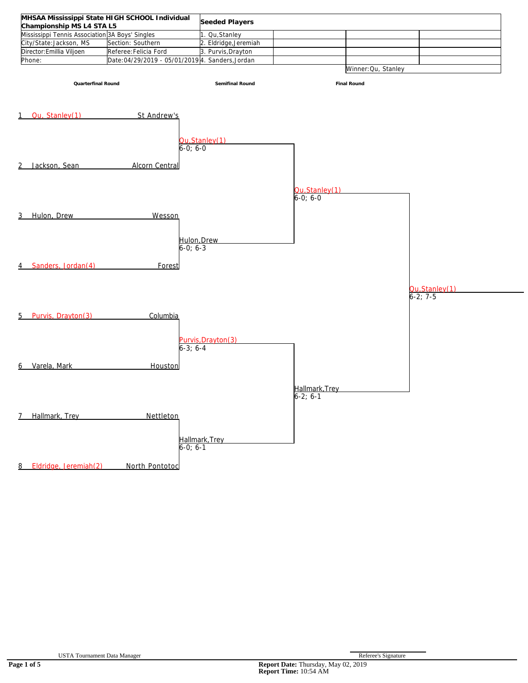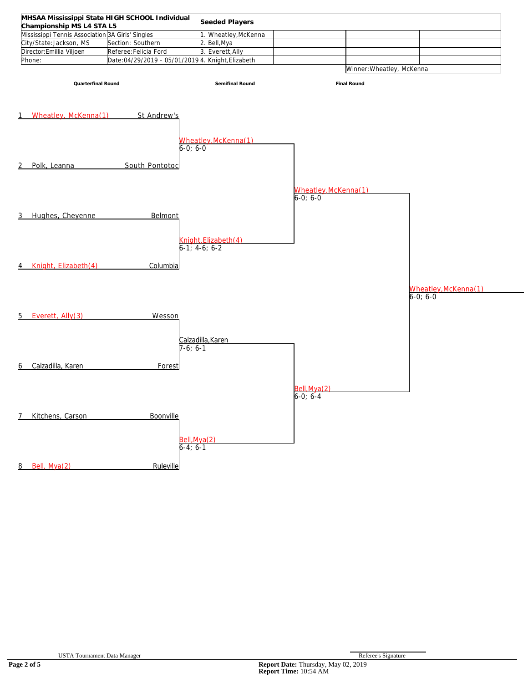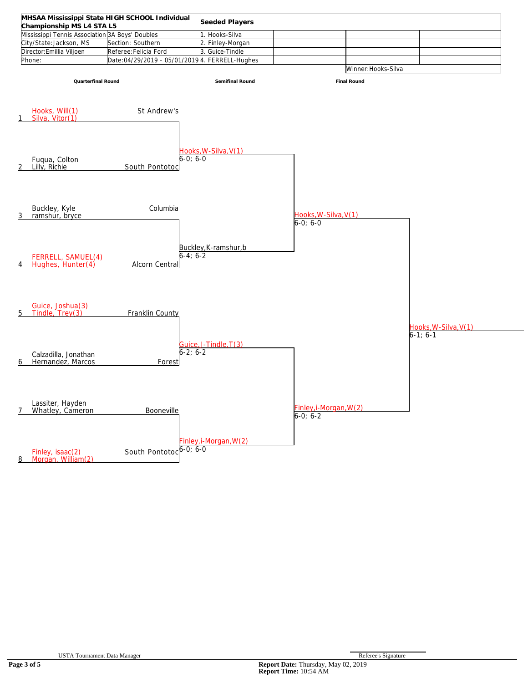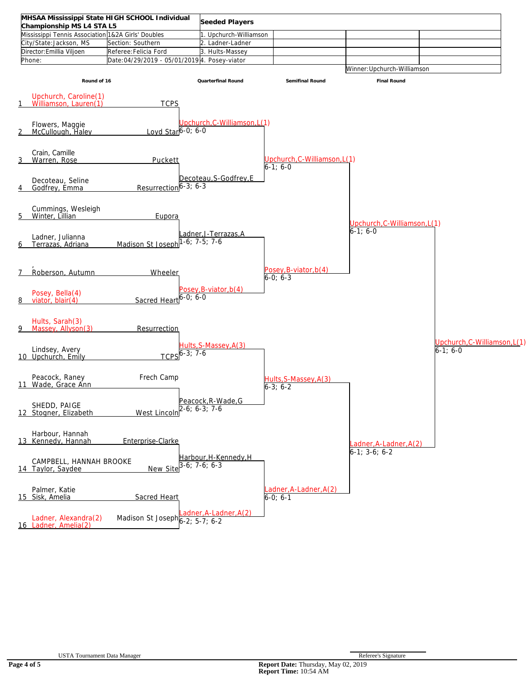